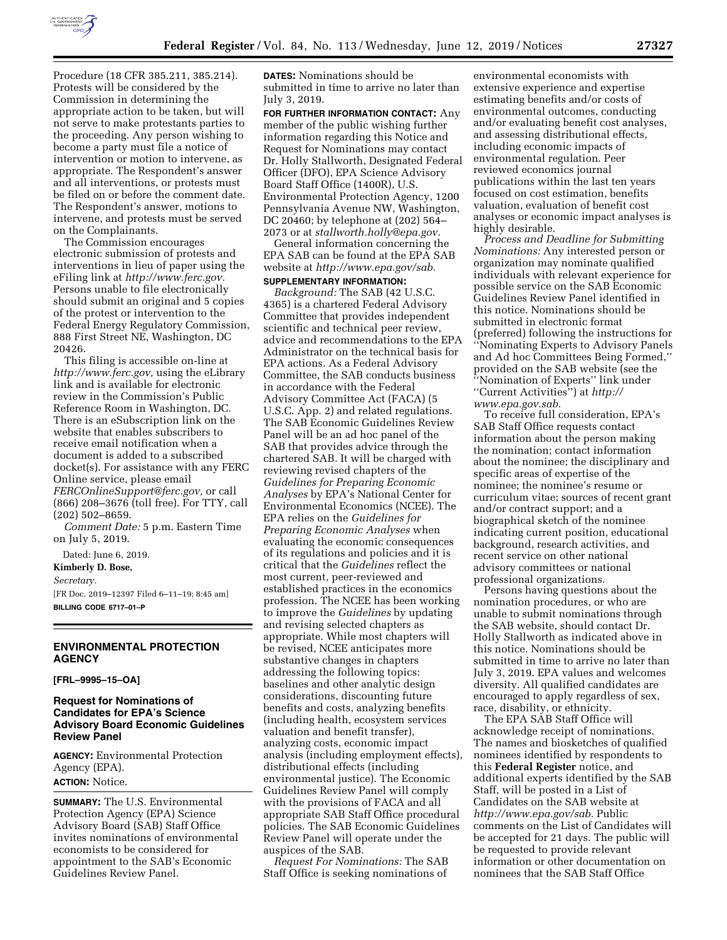

Procedure (18 CFR 385.211, 385.214). Protests will be considered by the Commission in determining the appropriate action to be taken, but will not serve to make protestants parties to the proceeding. Any person wishing to become a party must file a notice of intervention or motion to intervene, as appropriate. The Respondent's answer and all interventions, or protests must be filed on or before the comment date. The Respondent's answer, motions to intervene, and protests must be served on the Complainants.

The Commission encourages electronic submission of protests and interventions in lieu of paper using the eFiling link at *[http://www.ferc.gov.](http://www.ferc.gov)*  Persons unable to file electronically should submit an original and 5 copies of the protest or intervention to the Federal Energy Regulatory Commission, 888 First Street NE, Washington, DC 20426.

This filing is accessible on-line at *[http://www.ferc.gov,](http://www.ferc.gov)* using the eLibrary link and is available for electronic review in the Commission's Public Reference Room in Washington, DC. There is an eSubscription link on the website that enables subscribers to receive email notification when a document is added to a subscribed docket(s). For assistance with any FERC Online service, please email *[FERCOnlineSupport@ferc.gov,](mailto:FERCOnlineSupport@ferc.gov)* or call (866) 208–3676 (toll free). For TTY, call (202) 502–8659.

*Comment Date:* 5 p.m. Eastern Time on July 5, 2019.

Dated: June 6, 2019. **Kimberly D. Bose,**  *Secretary.*  [FR Doc. 2019–12397 Filed 6–11–19; 8:45 am] **BILLING CODE 6717–01–P** 

# **ENVIRONMENTAL PROTECTION AGENCY**

**[FRL–9995–15–OA]** 

### **Request for Nominations of Candidates for EPA's Science Advisory Board Economic Guidelines Review Panel**

**AGENCY:** Environmental Protection Agency (EPA). **ACTION:** Notice.

**SUMMARY:** The U.S. Environmental Protection Agency (EPA) Science Advisory Board (SAB) Staff Office invites nominations of environmental economists to be considered for appointment to the SAB's Economic Guidelines Review Panel.

**DATES:** Nominations should be submitted in time to arrive no later than July 3, 2019.

**FOR FURTHER INFORMATION CONTACT:** Any member of the public wishing further information regarding this Notice and Request for Nominations may contact Dr. Holly Stallworth, Designated Federal Officer (DFO), EPA Science Advisory Board Staff Office (1400R), U.S. Environmental Protection Agency, 1200 Pennsylvania Avenue NW, Washington, DC 20460; by telephone at (202) 564– 2073 or at *[stallworth.holly@epa.gov.](mailto:stallworth.holly@epa.gov)* 

General information concerning the EPA SAB can be found at the EPA SAB website at *[http://www.epa.gov/sab.](http://www.epa.gov/sab)* 

#### **SUPPLEMENTARY INFORMATION:**

*Background:* The SAB (42 U.S.C. 4365) is a chartered Federal Advisory Committee that provides independent scientific and technical peer review, advice and recommendations to the EPA Administrator on the technical basis for EPA actions. As a Federal Advisory Committee, the SAB conducts business in accordance with the Federal Advisory Committee Act (FACA) (5 U.S.C. App. 2) and related regulations. The SAB Economic Guidelines Review Panel will be an ad hoc panel of the SAB that provides advice through the chartered SAB. It will be charged with reviewing revised chapters of the *Guidelines for Preparing Economic Analyses* by EPA's National Center for Environmental Economics (NCEE). The EPA relies on the *Guidelines for Preparing Economic Analyses* when evaluating the economic consequences of its regulations and policies and it is critical that the *Guidelines* reflect the most current, peer-reviewed and established practices in the economics profession. The NCEE has been working to improve the *Guidelines* by updating and revising selected chapters as appropriate. While most chapters will be revised, NCEE anticipates more substantive changes in chapters addressing the following topics: baselines and other analytic design considerations, discounting future benefits and costs, analyzing benefits (including health, ecosystem services valuation and benefit transfer), analyzing costs, economic impact analysis (including employment effects), distributional effects (including environmental justice). The Economic Guidelines Review Panel will comply with the provisions of FACA and all appropriate SAB Staff Office procedural policies. The SAB Economic Guidelines Review Panel will operate under the auspices of the SAB.

*Request For Nominations:* The SAB Staff Office is seeking nominations of

environmental economists with extensive experience and expertise estimating benefits and/or costs of environmental outcomes, conducting and/or evaluating benefit cost analyses, and assessing distributional effects, including economic impacts of environmental regulation. Peer reviewed economics journal publications within the last ten years focused on cost estimation, benefits valuation, evaluation of benefit cost analyses or economic impact analyses is highly desirable.

*Process and Deadline for Submitting Nominations:* Any interested person or organization may nominate qualified individuals with relevant experience for possible service on the SAB Economic Guidelines Review Panel identified in this notice. Nominations should be submitted in electronic format (preferred) following the instructions for 'Nominating Experts to Advisory Panels and Ad hoc Committees Being Formed,'' provided on the SAB website (see the ''Nomination of Experts'' link under ''Current Activities'') at *[http://](http://www.epa.gov.sab) [www.epa.gov.sab.](http://www.epa.gov.sab)* 

To receive full consideration, EPA's SAB Staff Office requests contact information about the person making the nomination; contact information about the nominee; the disciplinary and specific areas of expertise of the nominee; the nominee's resume or curriculum vitae; sources of recent grant and/or contract support; and a biographical sketch of the nominee indicating current position, educational background, research activities, and recent service on other national advisory committees or national professional organizations.

Persons having questions about the nomination procedures, or who are unable to submit nominations through the SAB website, should contact Dr. Holly Stallworth as indicated above in this notice. Nominations should be submitted in time to arrive no later than July 3, 2019. EPA values and welcomes diversity. All qualified candidates are encouraged to apply regardless of sex, race, disability, or ethnicity.

The EPA SAB Staff Office will acknowledge receipt of nominations. The names and biosketches of qualified nominees identified by respondents to this **Federal Register** notice, and additional experts identified by the SAB Staff, will be posted in a List of Candidates on the SAB website at *[http://www.epa.gov/sab.](http://www.epa.gov/sab)* Public comments on the List of Candidates will be accepted for 21 days. The public will be requested to provide relevant information or other documentation on nominees that the SAB Staff Office